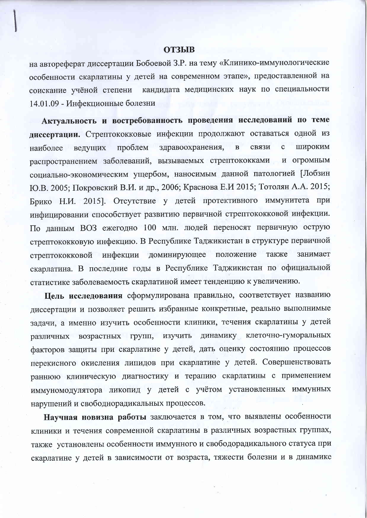## **ОТЗЫВ**

на автореферат диссертации Бобоевой З.Р. на тему «Клинико-иммунологические особенности скарлатины у детей на современном этапе», предоставленной на кандидата медицинских наук по специальности соискание учёной степени 14.01.09 - Инфекционные болезни

Актуальность и востребованность проведения исследований по теме диссертации. Стрептококковые инфекции продолжают оставаться одной из широким проблем здравоохранения,  $\, {\bf B}$ связи  $\mathbf{C}$ наиболее ведущих распространением заболеваний, вызываемых стрептококками и огромным социально-экономическим ущербом, наносимым данной патологией [Лобзин Ю.В. 2005; Покровский В.И. и др., 2006; Краснова Е.И 2015; Тотолян А.А. 2015; Брико Н.И. 2015]. Отсутствие у детей протективного иммунитета при инфицировании способствует развитию первичной стрептококковой инфекции. По ланным ВОЗ ежегодно 100 млн. людей переносят первичную острую стрептококковую инфекцию. В Республике Таджикистан в структуре первичной инфекции доминирующее положение также занимает стрептококковой скарлатина. В последние годы в Республике Таджикистан по официальной статистике заболеваемость скарлатиной имеет тенденцию к увеличению.

Цель исследования сформулирована правильно, соответствует названию диссертации и позволяет решить избранные конкретные, реально выполнимые задачи, а именно изучить особенности клиники, течения скарлатины у детей динамику клеточно-гуморальных возрастных групп, изучить различных факторов защиты при скарлатине у детей, дать оценку состоянию процессов перекисного окисления липидов при скарлатине у детей. Совершенствовать раннюю клиническую диагностику и терапию скарлатины с применением иммуномодулятора ликопид у детей с учётом установленных иммунных нарушений и свободнорадикальных процессов.

Научная новизна работы заключается в том, что выявлены особенности клиники и течения современной скарлатины в различных возрастных группах, также установлены особенности иммунного и свободорадикального статуса при скарлатине у детей в зависимости от возраста, тяжести болезни и в динамике